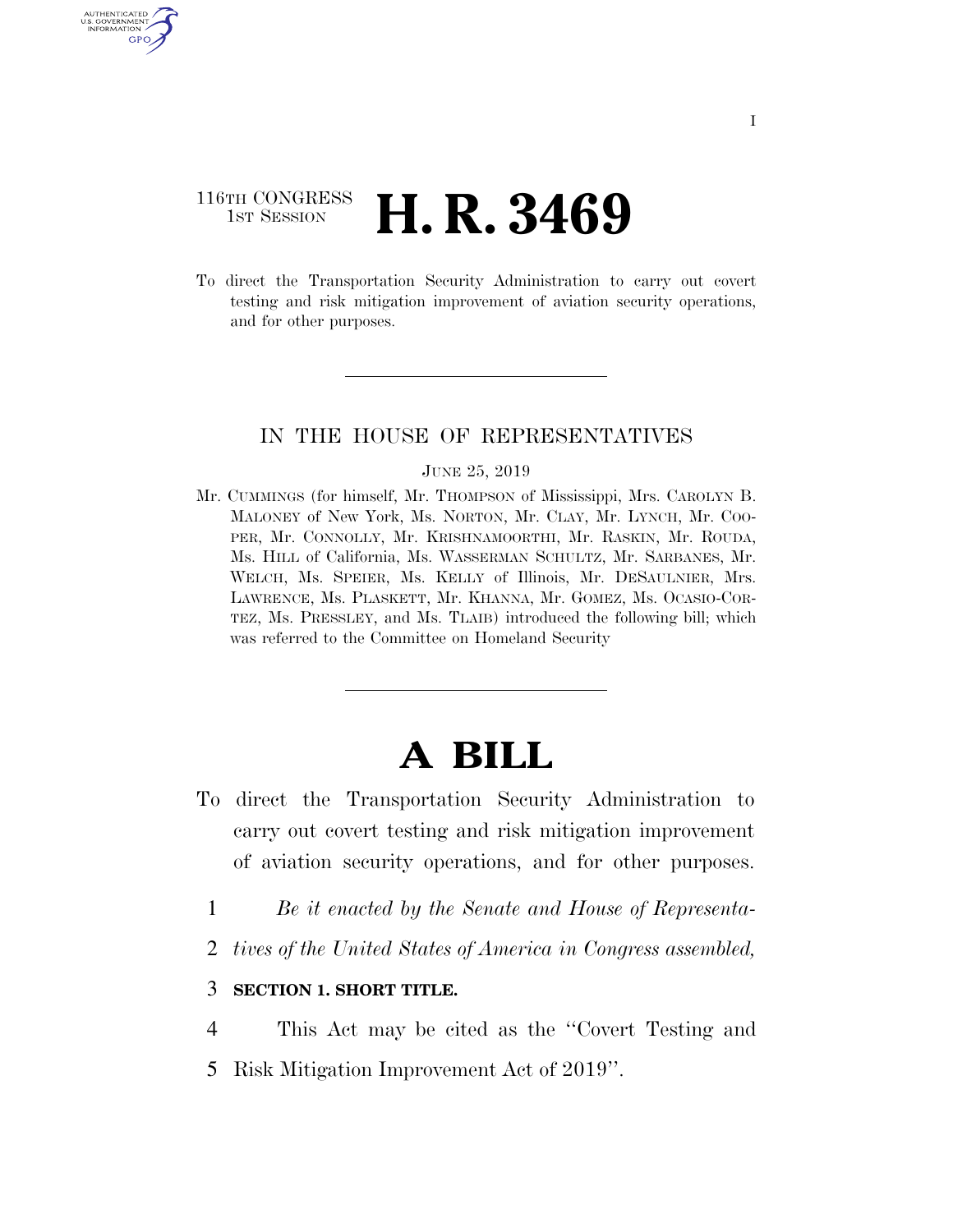## 116TH CONGRESS **1st Session H. R. 3469**

AUTHENTICATED U.S. GOVERNMENT GPO

> To direct the Transportation Security Administration to carry out covert testing and risk mitigation improvement of aviation security operations, and for other purposes.

## IN THE HOUSE OF REPRESENTATIVES

#### JUNE 25, 2019

Mr. CUMMINGS (for himself, Mr. THOMPSON of Mississippi, Mrs. CAROLYN B. MALONEY of New York, Ms. NORTON, Mr. CLAY, Mr. LYNCH, Mr. COO-PER, Mr. CONNOLLY, Mr. KRISHNAMOORTHI, Mr. RASKIN, Mr. ROUDA, Ms. HILL of California, Ms. WASSERMAN SCHULTZ, Mr. SARBANES, Mr. WELCH, Ms. SPEIER, Ms. KELLY of Illinois, Mr. DESAULNIER, Mrs. LAWRENCE, Ms. PLASKETT, Mr. KHANNA, Mr. GOMEZ, Ms. OCASIO-COR-TEZ, Ms. PRESSLEY, and Ms. TLAIB) introduced the following bill; which was referred to the Committee on Homeland Security

# **A BILL**

- To direct the Transportation Security Administration to carry out covert testing and risk mitigation improvement of aviation security operations, and for other purposes.
	- 1 *Be it enacted by the Senate and House of Representa-*
	- 2 *tives of the United States of America in Congress assembled,*

## 3 **SECTION 1. SHORT TITLE.**

4 This Act may be cited as the ''Covert Testing and 5 Risk Mitigation Improvement Act of 2019''.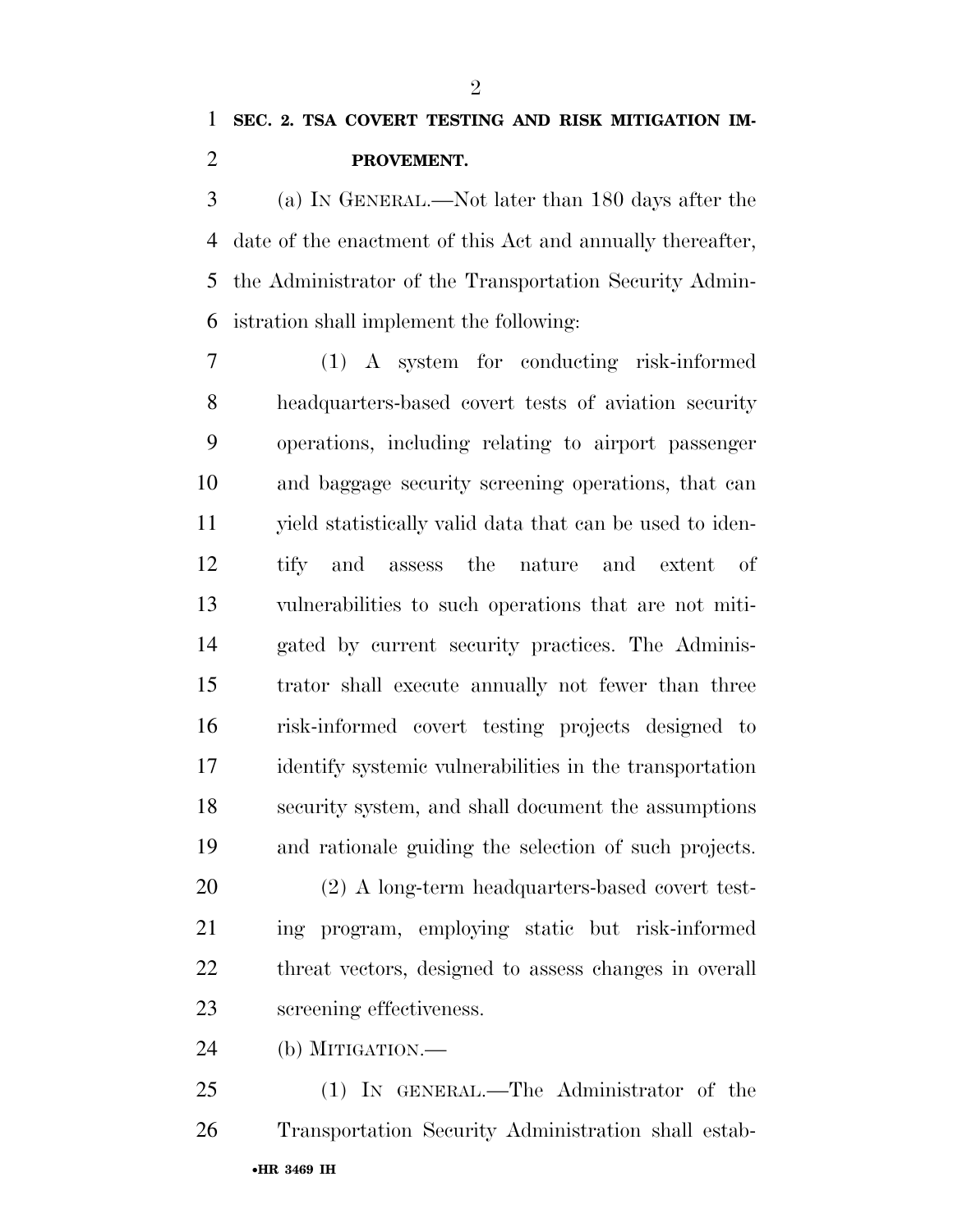## **SEC. 2. TSA COVERT TESTING AND RISK MITIGATION IM-PROVEMENT.**

 (a) IN GENERAL.—Not later than 180 days after the date of the enactment of this Act and annually thereafter, the Administrator of the Transportation Security Admin-istration shall implement the following:

 (1) A system for conducting risk-informed headquarters-based covert tests of aviation security operations, including relating to airport passenger and baggage security screening operations, that can yield statistically valid data that can be used to iden- tify and assess the nature and extent of vulnerabilities to such operations that are not miti- gated by current security practices. The Adminis- trator shall execute annually not fewer than three risk-informed covert testing projects designed to identify systemic vulnerabilities in the transportation security system, and shall document the assumptions and rationale guiding the selection of such projects.

 (2) A long-term headquarters-based covert test- ing program, employing static but risk-informed threat vectors, designed to assess changes in overall screening effectiveness.

(b) MITIGATION.—

•**HR 3469 IH** (1) IN GENERAL.—The Administrator of the Transportation Security Administration shall estab-

 $\mathfrak{D}$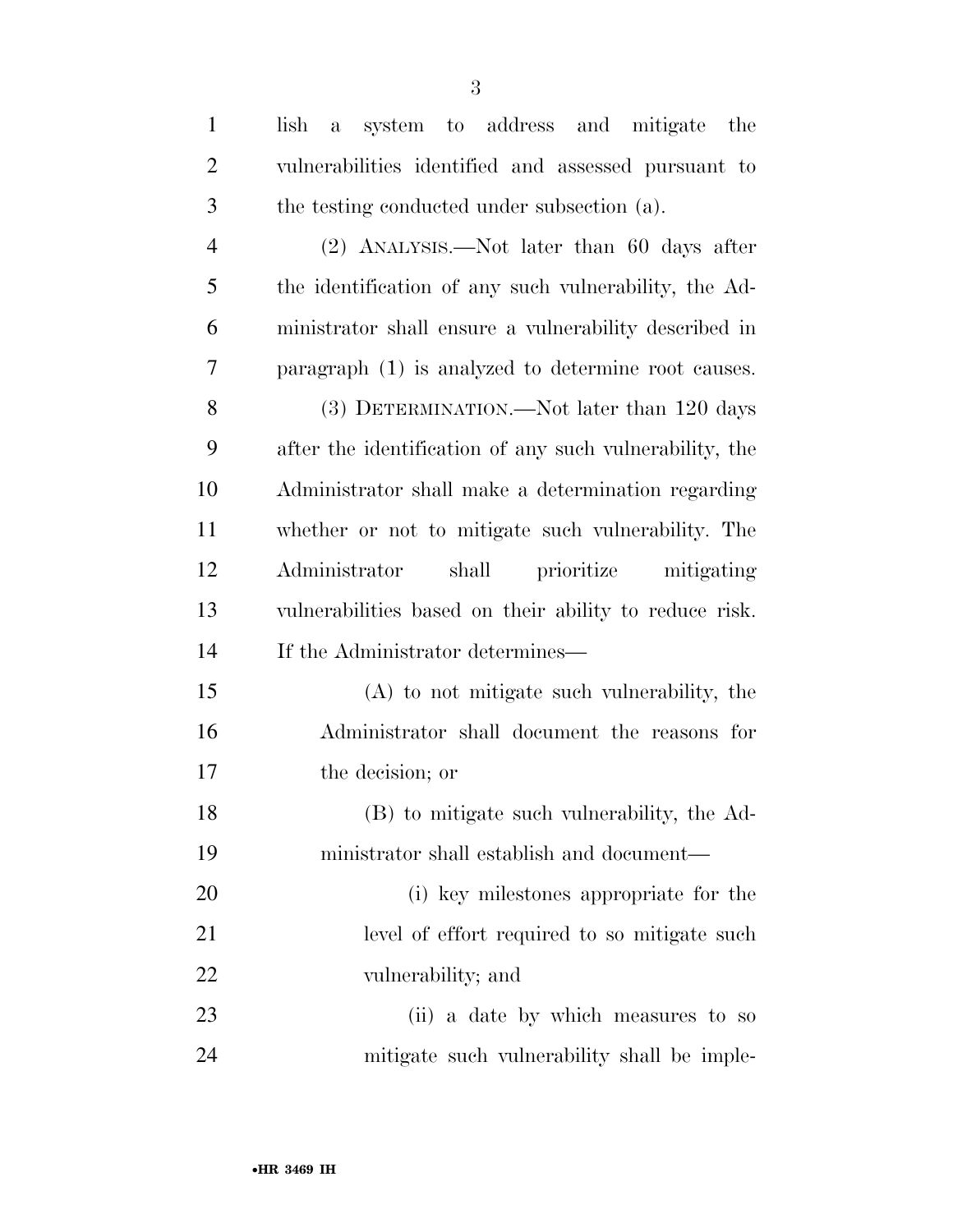| $\mathbf{1}$   | system to address and mitigate the<br>lish<br>a         |
|----------------|---------------------------------------------------------|
| 2              | vulnerabilities identified and assessed pursuant to     |
| 3              | the testing conducted under subsection (a).             |
| $\overline{4}$ | $(2)$ ANALYSIS.—Not later than 60 days after            |
| 5              | the identification of any such vulnerability, the Ad-   |
| 6              | ministrator shall ensure a vulnerability described in   |
| 7              | paragraph (1) is analyzed to determine root causes.     |
| 8              | (3) DETERMINATION.—Not later than 120 days              |
| 9              | after the identification of any such vulnerability, the |
| 10             | Administrator shall make a determination regarding      |
| 11             | whether or not to mitigate such vulnerability. The      |
| 12             | shall prioritize mitigating<br>Administrator            |
| 13             | vulnerabilities based on their ability to reduce risk.  |
| 14             | If the Administrator determines—                        |
| 15             | (A) to not mitigate such vulnerability, the             |
| 16             | Administrator shall document the reasons for            |
| 17             | the decision; or                                        |
| 18             | (B) to mitigate such vulnerability, the Ad-             |
| 19             | ministrator shall establish and document—               |
| 20             | (i) key milestones appropriate for the                  |
| 21             | level of effort required to so mitigate such            |
| 22             | vulnerability; and                                      |
| 23             | (ii) a date by which measures to so                     |
| 24             | mitigate such vulnerability shall be imple-             |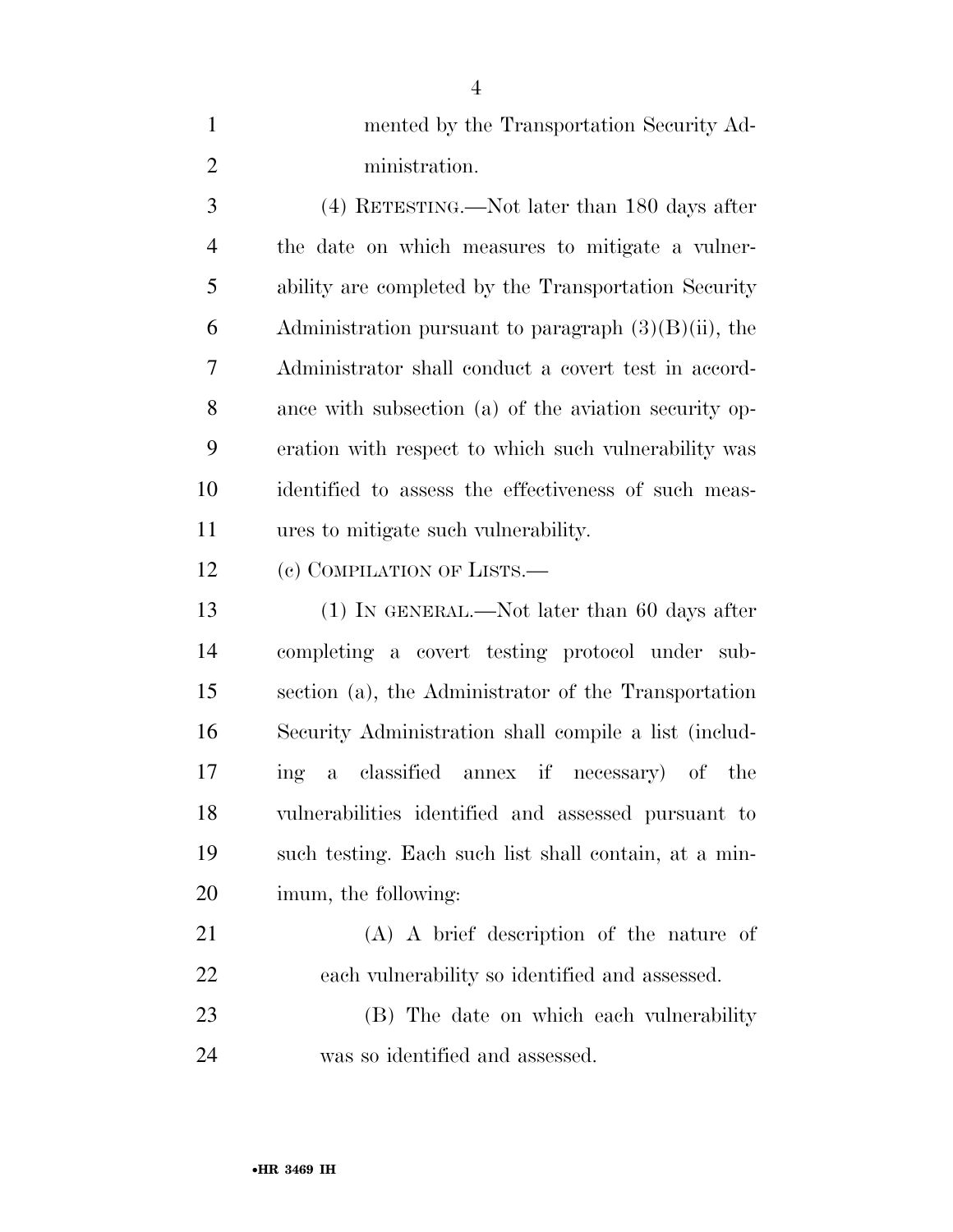| $\mathbf{1}$   | mented by the Transportation Security Ad-               |
|----------------|---------------------------------------------------------|
| $\overline{2}$ | ministration.                                           |
| 3              | $(4)$ RETESTING.—Not later than 180 days after          |
| $\overline{4}$ | the date on which measures to mitigate a vulner-        |
| 5              | ability are completed by the Transportation Security    |
| 6              | Administration pursuant to paragraph $(3)(B)(ii)$ , the |
| 7              | Administrator shall conduct a covert test in accord-    |
| 8              | ance with subsection (a) of the aviation security op-   |
| 9              | eration with respect to which such vulnerability was    |
| 10             | identified to assess the effectiveness of such meas-    |
| 11             | ures to mitigate such vulnerability.                    |
| 12             | (c) COMPILATION OF LISTS.—                              |
| 13             | $(1)$ In GENERAL.—Not later than 60 days after          |
| 14             | completing a covert testing protocol under sub-         |
| 15             | section (a), the Administrator of the Transportation    |
| 16             | Security Administration shall compile a list (includ-   |
| 17             | a classified annex if necessary) of the<br>ing          |
| 18             | vulnerabilities identified and assessed pursuant to     |
| 19             | such testing. Each such list shall contain, at a min-   |
| 20             | imum, the following:                                    |
| 21             | $(A)$ A brief description of the nature of              |
| 22             | each vulnerability so identified and assessed.          |
| 23             | (B) The date on which each vulnerability                |
|                |                                                         |

was so identified and assessed.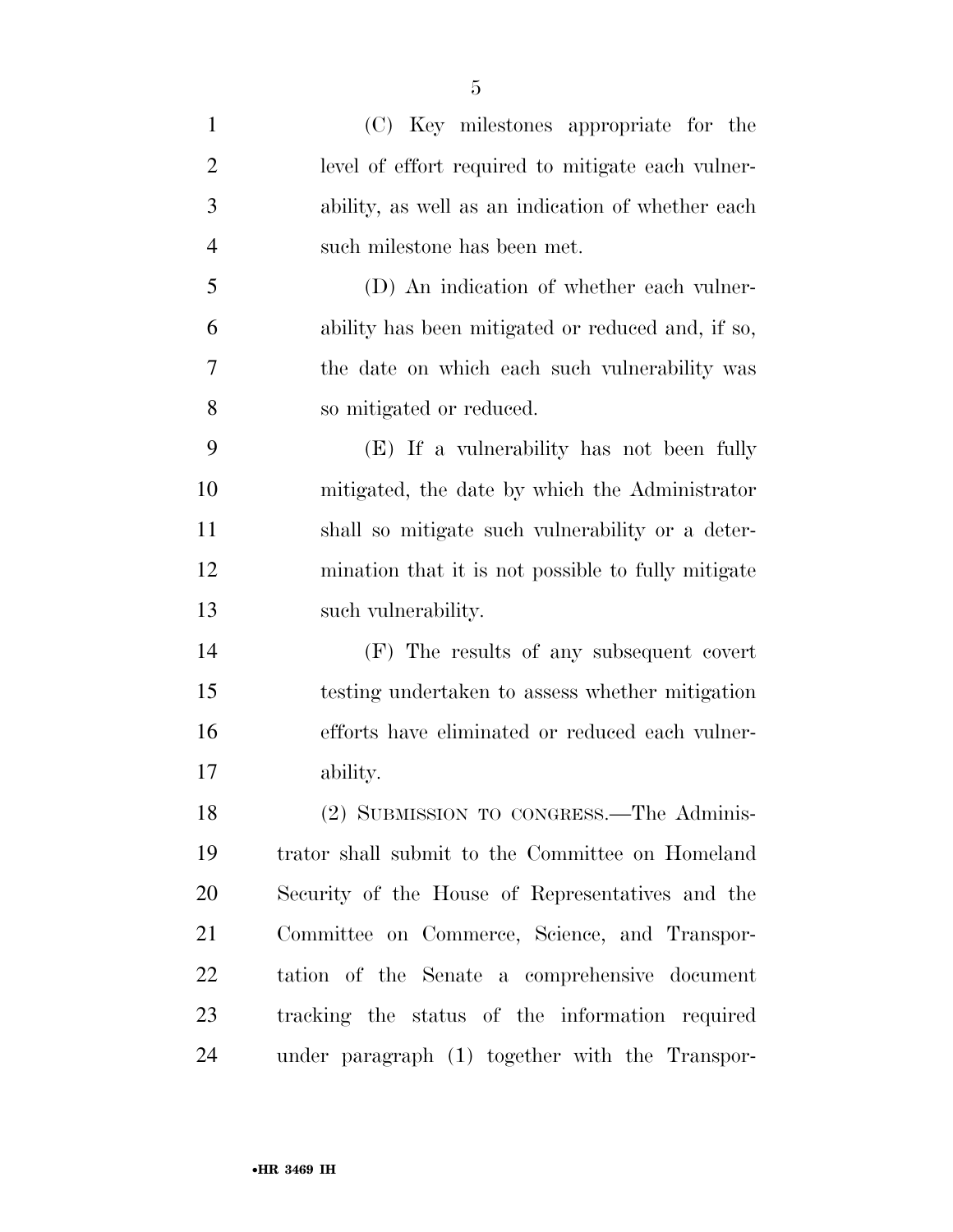| $\mathbf{1}$   | (C) Key milestones appropriate for the             |
|----------------|----------------------------------------------------|
| $\overline{2}$ | level of effort required to mitigate each vulner-  |
| 3              | ability, as well as an indication of whether each  |
| $\overline{4}$ | such milestone has been met.                       |
| 5              | (D) An indication of whether each vulner-          |
| 6              | ability has been mitigated or reduced and, if so,  |
| 7              | the date on which each such vulnerability was      |
| 8              | so mitigated or reduced.                           |
| 9              | (E) If a vulnerability has not been fully          |
| 10             | mitigated, the date by which the Administrator     |
| 11             | shall so mitigate such vulnerability or a deter-   |
| 12             | mination that it is not possible to fully mitigate |
| 13             | such vulnerability.                                |
| 14             | (F) The results of any subsequent covert           |
| 15             | testing undertaken to assess whether mitigation    |
| 16             | efforts have eliminated or reduced each vulner-    |
| 17             | ability.                                           |
| 18             | (2) SUBMISSION TO CONGRESS.—The Adminis-           |
| 19             | trator shall submit to the Committee on Homeland   |
| 20             | Security of the House of Representatives and the   |
| 21             | Committee on Commerce, Science, and Transpor-      |
| 22             | tation of the Senate a comprehensive document      |
| 23             | tracking the status of the information required    |
| 24             | under paragraph (1) together with the Transpor-    |